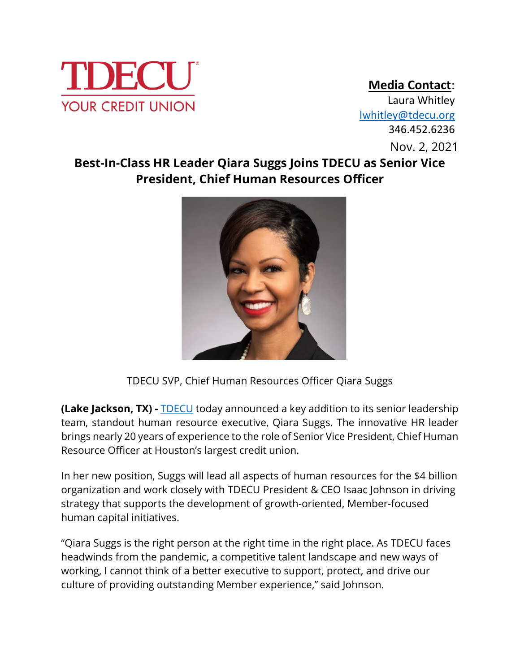

## **Media Contact**:

 Nov. 2, 2021 346.452.6236Nov. 2, 2021 Laura Whitley [lwhitley@tdecu.org](mailto:lwhitley@tdecu.org)

## **Best-In-Class HR Leader Qiara Suggs Joins TDECU as Senior Vice President, Chief Human Resources Officer**



TDECU SVP, Chief Human Resources Officer Qiara Suggs

**(Lake Jackson, TX) -** [TDECU](https://www.tdecu.org/) today announced a key addition to its senior leadership team, standout human resource executive, Qiara Suggs. The innovative HR leader brings nearly 20 years of experience to the role of Senior Vice President, Chief Human Resource Officer at Houston's largest credit union.

In her new position, Suggs will lead all aspects of human resources for the \$4 billion organization and work closely with TDECU President & CEO Isaac Johnson in driving strategy that supports the development of growth-oriented, Member-focused human capital initiatives.

"Qiara Suggs is the right person at the right time in the right place. As TDECU faces headwinds from the pandemic, a competitive talent landscape and new ways of working, I cannot think of a better executive to support, protect, and drive our culture of providing outstanding Member experience," said Johnson.